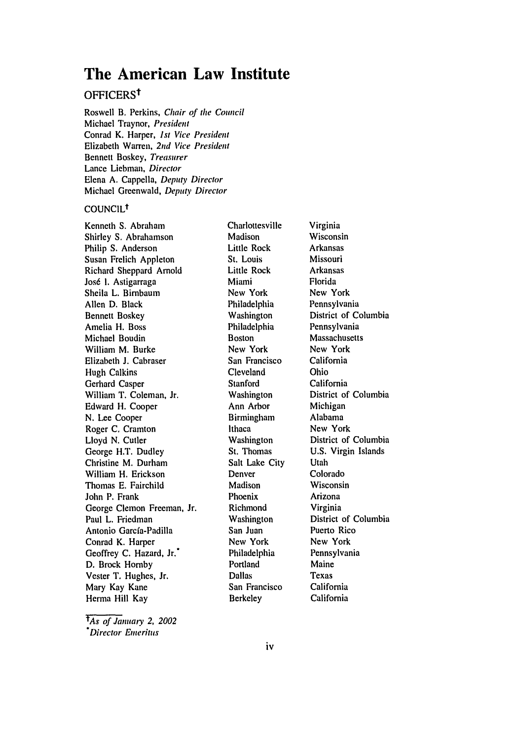# **The American Law Institute**

# OFFICERSt

Roswell B. Perkins, *Chair of the* Council Michael Traynor, President Conrad K. Harper, *1st* Vice President Elizabeth Warren, **2nd** *Vice President* Bennett Boskey, *Treasurer* Lance Liebman, *Director* Elena **A.** Cappella, *Deputy Director* Michael Greenwald, *Deputy Director*

#### COUNCILt

Kenneth S. Abraham Shirley S. Abrahamson Philip S. Anderson Susan Frelich Appleton Richard Sheppard Arnold Jos6 **1.** Astigarraga Sheila L. Birnbaum Allen D. Black Bennett Boskey Amelia H. Boss Michael Boudin William M. Burke Elizabeth **J.** Cabraser Hugh Calkins Gerhard Casper William T. Coleman, Jr. Edward H. Cooper N. Lee Cooper Roger C. Cramton Lloyd N. Cutler George H.T. Dudley Christine M. Durham William H. Erickson Thomas E. Fairchild John P. Frank George Clemon Freeman, Jr. Paul L. Friedman Antonio Garcfa-Padilla Conrad K. Harper Geoffrey C. Hazard, Jr.\* D. Brock Hornby Vester T. Hughes, Jr. Mary Kay Kane Herma Hill Kay

*rAs* of January 2, 2002 *"Director* Emeritus

Charlottesville Madison Little Rock St. Louis Little Rock Miami New York Philadelphia Washington Philadelphia Boston New York San Francisco Cleveland Stanford Washington Ann Arbor Birmingham Ithaca Washington St. Thomas Salt Lake City Denver Madison Phoenix Richmond Washington San Juan New York Philadelphia Portland Dallas San Francisco Berkeley

Virginia Wisconsin Arkansas Missouri Arkansas Florida New York Pennsylvania District of Columbia Pennsylvania Massachusetts New York California Ohio California District of Columbia Michigan Alabama New York District of Columbia U.S. Virgin Islands Utah Colorado Wisconsin Arizona Virginia District of Columbia Puerto Rico New York Pennsylvania Maine Texas California California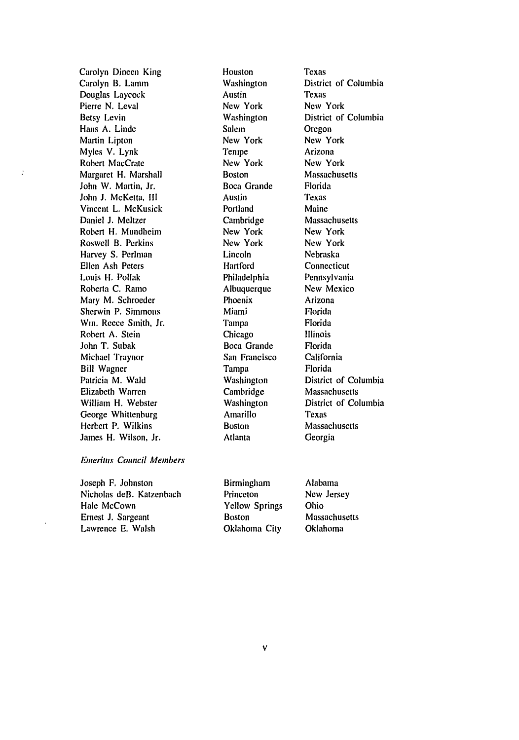Carolyn Dineen King Carolyn B. Lamm Douglas Laycock Pierre N. Leval Betsy Levin Hans A. Linde Martin Lipton Myles V. Lynk Robert MacCrate Margaret H. Marshall John W. Martin, Jr. John **J.** McKetta, **II** Vincent L. McKusick Daniel J. Meltzer Robert H. Mundheim Roswell B. Perkins Harvey S. Perlman Ellen Ash Peters Louis H. Pollak Roberta C. Ramo Mary M. Schroeder Sherwin P. Simmons Win. Reece Smith, Jr. Robert A. Stein John T. Subak Michael Traynor Bill Wagner Patricia M. Wald Elizabeth Warren William H. Webster George Whittenburg Herbert P. Wilkins James H. Wilson, Jr.

þ

#### *Emeritus* Council Members

Joseph F. Johnston Nicholas deB. Katzenbach Hale McCown Ernest J. Sargeant Lawrence E. Walsh

Houston Washington Austin New York Washington Salem New York **Tenipe** New York Boston Boca Grande Austin Portland Cambridge New York New York Lincoln Hartford Philadelphia Albuquerque Phoenix Miami Tampa Chicago Boca Grande San Francisco Tampa Washington Cambridge Washington Amarillo Boston Atlanta

Texas District of Columbia Texas New York District of Columbia Oregon New York Arizona New York Massachusetts Florida Texas Maine Massachusetts New York New York Nebraska **Connecticut** Pennsylvania New Mexico Arizona Florida Florida Illinois Florida California Florida District of Columbia Massachusetts District of Columbia Texas Massachusetts Georgia

| <b>Birmingham</b>     | Alabama       |
|-----------------------|---------------|
| Princeton             | New Jersey    |
| <b>Yellow Springs</b> | Ohio          |
| <b>Boston</b>         | Massachusetts |
| Oklahoma City         | Oklahoma      |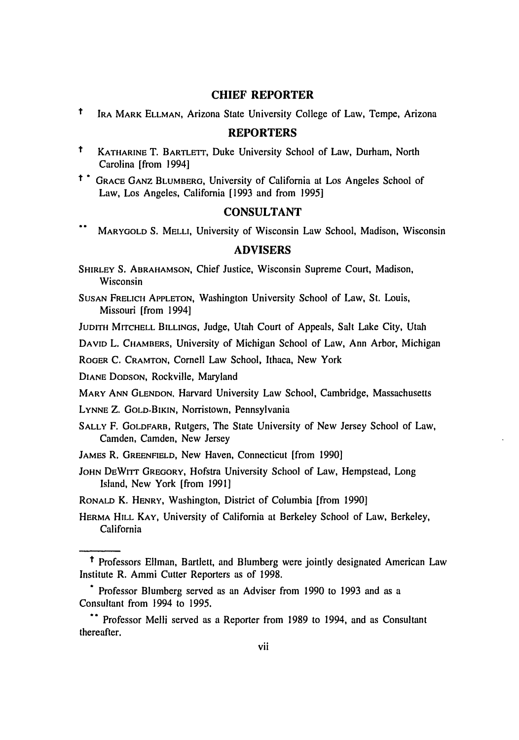#### **CHIEF REPORTER**

t IRA MARK **ELLMAN,** Arizona State University College of Law, Tempe, Arizona

## **REPORTERS**

- t KATHARINE T. BARTLETT, Duke University School of Law, Durham, North Carolina [from 1994]
- i **\*** GRACE GANZ BLUMBERG, University of California at Los Angeles School of Law, Los Angeles, California [1993 and from 1995]

#### **CONSULTANT**

 $\ddot{\phantom{a}}$ MARYGOLD S. MELLI, University of Wisconsin Law School, Madison, Wisconsin

## ADVISERS

SHIRLEY S. ABRAHAMSON, Chief Justice, Wisconsin Supreme Court, Madison, Wisconsin

SUSAN FRELICH **APPLETON,** Washington University School of Law, St. Louis, Missouri [from 1994]

**JUDITH** MITCHELL **BILLINGS,** Judge, Utah Court of Appeals, Salt Lake City, Utah

DAVID L. CHAMBERS, University of Michigan School of Law, Ann Arbor, Michigan

ROGER C. CRAMTON, Cornell Law School, Ithaca, New York

**DIANE** DODSON, Rockville, Maryland

MARY ANN GLENDON, Harvard University Law School, Cambridge, Massachusetts

LYNNE Z. GOLD-BIKIN, Norristown, Pennsylvania

**SALLY** F. GOLDFARB, Rutgers, The State University of New Jersey School of Law, Camden, Camden, New Jersey

JAMES R. **GREENFIELD,** New Haven, Connecticut [from 1990]

**JOHN** DEWITT GREGORY, Hofstra University School of Law, Hempstead, Long Island, New York [from 1991]

RONALD K. HENRY, Washington, District of Columbia [from 1990]

**HERMA HILL** KAY, University of California at Berkeley School of Law, Berkeley, California

t Professors Ellman, Bartlett, and Blumberg were jointly designated American Law Institute R. Ammi Cutter Reporters as of 1998.

Professor Blumberg served as an Adviser from 1990 to 1993 and as a Consultant from 1994 to 1995.

**<sup>..</sup>** Professor Melli served as a Reporter from 1989 to 1994, and as Consultant thereafter.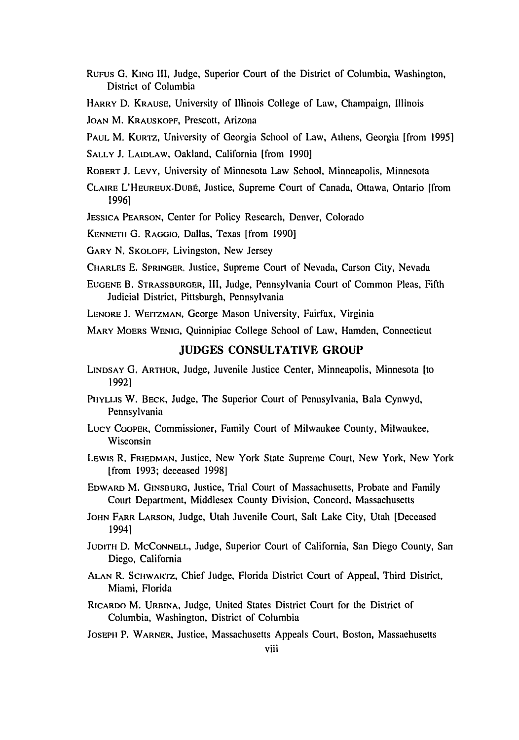- RUFUS **G.** KING Ill, Judge, Superior Court of the District of Columbia, Washington, District of Columbia
- HARRY **D.** KRAUSE, University of Illinois College of Law, Champaign, Illinois

JOAN M. KRAUSKOPF, Prescott, Arizona

- PAUL M. KURTZ, University of Georgia School of Law, Athens, Georgia [from 1995]
- SALLY **J.** LAIDLAW, Oakland, California [from 1990]
- ROBERT **J.** LEVY, University of Minnesota Law School, Minneapolis, Minnesota
- CLAIRE L'HEUREUX-DUBt, Justice, Supreme Court of Canada, Ottawa, Ontario [from 19961
- JESSICA PEARSON, Center for Policy Research, Denver, Colorado

KENNETII G. RAGGIO, Dallas, Texas [from 1990]

GARY **N.** SKOLOFF, Livingston, New Jersey

CHARLES E. SPRINGER, Justice, Supreme Court of Nevada, Carson City, Nevada

EUGENE B. STRASSBURGER, III, Judge, Pennsylvania Court of Common Pleas, Fifth Judicial District, Pittsburgh, Pennsylvania

LENORE J. WEITZMAN, George Mason University, Fairfax, Virginia

MARY MOERS WENIG, Quinnipiac College School of Law, Hamden, Connecticut

#### **JUDGES CONSULTATIVE** GROUP

- LINDSAY G. ARTHUR, Judge, Juvenile Justice Center, Minneapolis, Minnesota [to 1992]
- PHYLLIS W. BECK, Judge, The Superior Court of Pennsylvania, Bala Cynwyd, Pennsylvania
- Lucy Cooper, Commissioner, Family Court of Milwaukee County, Milwaukee, Wisconsin
- LEWIS R. FRIEDMAN, Justice, New York State Supreme Court, New York, New York [from 1993; deceased 1998]
- EDWARD M. GINSBURG, Justice, Trial Court of Massachusetts, Probate and Family Court Department, Middlesex County Division, Concord, Massachusetts
- **JOHN** FARR **LARSON,** Judge, Utah Juvenile Court, Salt Lake City, Utah [Deceased 1994]
- **JUDITH** D. **MCCONNELL,** Judge, Superior Court of California, San Diego County, San Diego, California
- **ALAN** R. SCHWARTZ, Chief Judge, Florida District Court of Appeal, Third District, Miami, Florida
- RICARDO M. URBINA, Judge, United States District Court for the District of Columbia, Washington, District of Columbia
- JOSEPH P. WARNER, Justice, Massachusetts Appeals Court, Boston, Massachusetts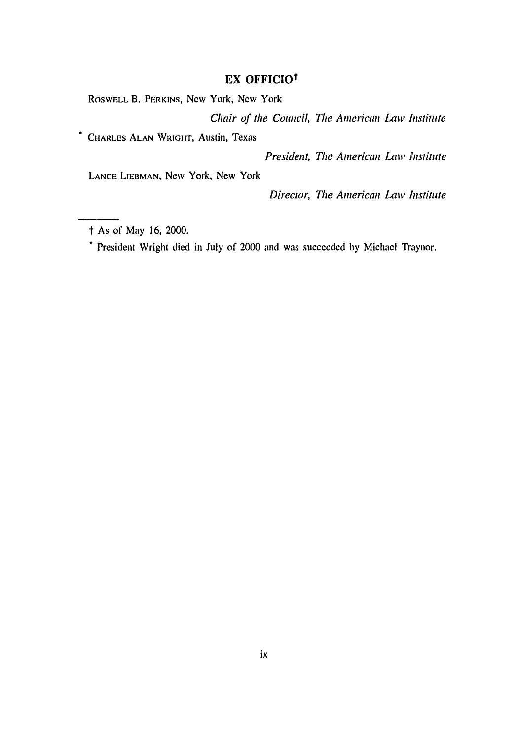# **EX OFFICIOt**

ROSWELL B. PERKINS, New York, New York

Chair *of the Council, The American Law Institute*

CHARLES **ALAN** WRIGHT, Austin, Texas

*President, The American Law Institute*

**LANCE LIEBMAN,** New York, New York

Director, The *American Law Institute*

the As of May 16, 2000.<br> **\*** President Wright died in July of 2000 and was succeeded by Michael Traynor.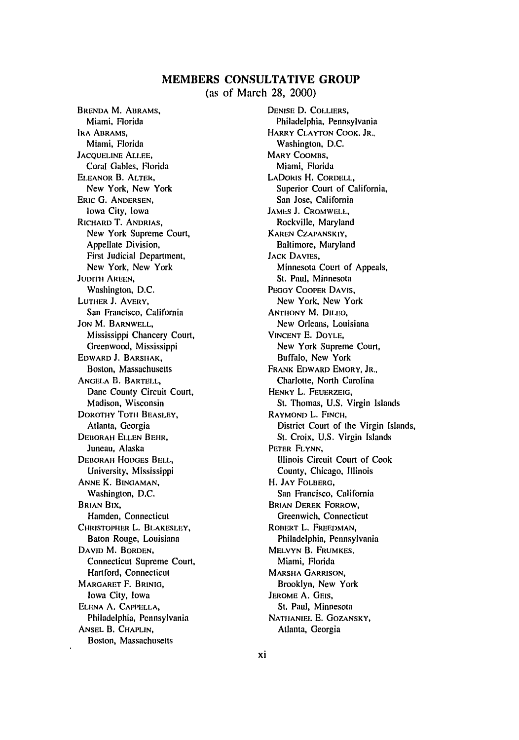# **MEMBERS CONSULTATIVE GROUP** (as of March **28,** 2000)

BRENDA M. **ABRAMS,** Miami, Florida IRA ABRAMS, Miami, Florida **JACQUELINE ALLEE.** Coral Gables, Florida ELEANOR B. ALTER, New York, New York ERIC **G.** ANDERSEN, Iowa City, Iowa RICHARD T. ANDRIAS, New York Supreme Court, Appellate Division, First Judicial Department, New York, New York JUDITH AREEN, Washington, D.C. LUTHER J. AVERY, San Francisco, California JON M. BARNWELL, Mississippi Chancery Court, Greenwood, Mississippi EDWARD J. BARSHIAK, Boston, Massachusetts ANGELA B. BARTELL, Dane County Circuit Court, Madison, Wisconsin DOROTHY TOTH BEASLEY, Atlanta, Georgia DEBORAH ELLEN BEHR, Juneau, Alaska DEBORAIH HODGES BELL, University, Mississippi ANNE K. BINGAMAN, Washington, D.C. BRIAN BiX, Hamden, Connecticut CHRISTOPHER L. BLAKESLEY, Baton Rouge, Louisiana DAVID M. BORDEN, Connecticut Supreme Court, Hartford, Connecticut MARGARET F. BRINIG, Iowa City, Iowa ELENA **A.** CAPPELLA, Philadelphia, Pennsylvania ANSEL B. CHAPLIN, Boston, Massachusetts

DENISE D. COLLIERS, Philadelphia, Pennsylvania HARRY CLAYTON COOK. JR., Washington, D.C. MARY COOMBS. Miami, Florida LADoRIS H. CORDELL, Superior Court of California, San Jose, California JAMES J. CROMWELL, Rockville, Maryland KAREN CZAPANSKIY, Baltimore, Maryland JACK DAVIES, Minnesota Court of Appeals, St. Paul, Minnesota PEGGY COOPER DAVIS, New York, New York ANTHONY M. DILEO, New Orleans, Louisiana VINCENT **E.** DOYLE, New York Supreme Court, Buffalo, New York FRANK EDWARD EMORY, JR., Charlotte, North Carolina HENRY L. FEUERZEIG, St. Thomas, U.S. Virgin Islands RAYMOND L. FINCH, District Court of the Virgin Islands, St. Croix, U.S. Virgin Islands PETER FLYNN, Illinois Circuit Court of Cook County, Chicago, Illinois H. JAY FOLBERG, San Francisco, California BRIAN DEREK FORROW, Greenwich, Connecticut ROBERT L. FREEDMAN, Philadelphia, Pennsylvania MELVYN B. FRUMKES, Miami, Florida MARSHA GARRISON, Brooklyn, New York JEROME A. GEIS, St. Paul, Minnesota NATHANIEL E. GOZANSKY, Atlanta, Georgia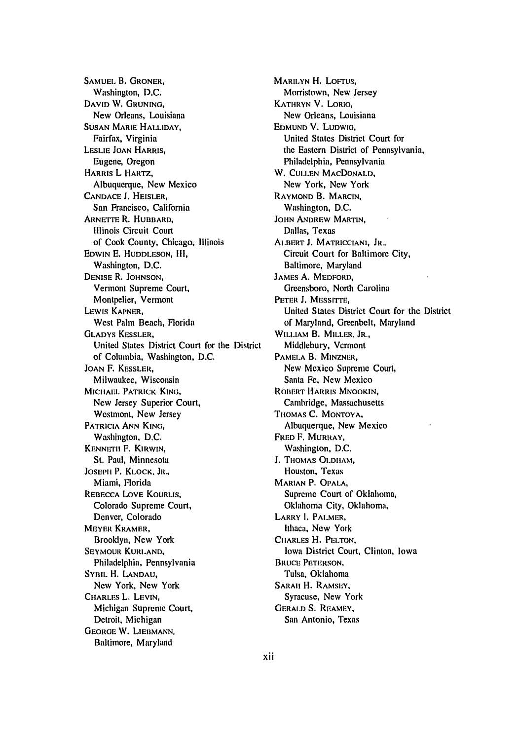SAMUEL B. GRONER, Washington, D.C. **DAVID** W. GRUNING, New Orleans, Louisiana SUSAN MARIE HALLIDAY, Fairfax, Virginia LESLIE JOAN HARRIS, Eugene, Oregon HARRIS L HARTZ, Albuquerque, New Mexico CANDACE **J.** HEISLER, San Francisco, California ARNETTE R. HUBBARD, Illinois Circuit Court of Cook County, Chicago, Illinois EDWIN E. HUDDLESON, **111,** Washington, D.C. DENISE R. JOHNSON, Vermont Supreme Court, Montpelier, Vermont LEWIS KAPNER, West Palm Beach, Florida GLADYS KESSLER, United States District Court for the District of Columbia, Washington, D.C. JOAN F. KESSLER, Milwaukee, Wisconsin MICHAEL PATRICK KING, New Jersey Superior Court, Westmont, New Jersey PATRICIA ANN KING, Washington, D.C. KENNETII F. KIRWIN, St. Paul, Minnesota **JOSEPH** P. KLOCK. JR., Miami, Florida REBECCA LOVE KOURLIS, Colorado Supreme Court, Denver, Colorado MEYER KRAMER, Brooklyn, New York SEYMOUR KURLAND, Philadelphia, Pennsylvania SYBIL H. LANDAU, New York, New York CHARLES L. **LEVIN,** Michigan Supreme Court, Detroit, Michigan **GEORGE** W. LIEBMANN. Baltimore, Maryland

MARILYN H. LOFTUS, Morristown, New Jersey KATHRYN V. LORIO, New Orleans, Louisiana EDMUND V. LUDWIG, United States District Court for the Eastern District of Pennsylvania, Philadelphia, Pennsylvania W. CULLEN MACDONALD, New York, New York RAYMOND B. MARCIN, Washington, D.C. JOHN ANDREW MARTIN, Dallas, Texas ALBERT J. MATRICCIANI. JR., Circuit Court for Baltimore City, Baltimore, Maryland JAMES A. MEDFORD, Greensboro, North Carolina PETER **J.** MESSITrE, United States District Court for the District of Maryland, Greenbelt, Maryland WILLIAM B. MILLER. JR., Middlebury, Vermont PAMELA B. MINZNER, New Mexico Supreme Court, Santa Fe, New Mexico ROBERT HARRIS MNOOKIN, Cambridge, Massachusetts THOMAS C. MONTOYA, Albuquerque, New Mexico FRED F. MURRAY, Washington, D.C. J. TIOMAS OLDIIAM, Houston, Texas **MARIAN P. OPALA,** Supreme Court of Oklahoma, Oklahoma City, Oklahoma, LARRY **I.** PALMER, Ithaca, New York CIIARLES H. PELTON, Iowa District Court, Clinton, Iowa BRUCE PETERSON, Tulsa, Oklahoma SARAII H. **RAMSEY.** Syracuse, New York GERALD **S.** REAMEY, San Antonio, Texas